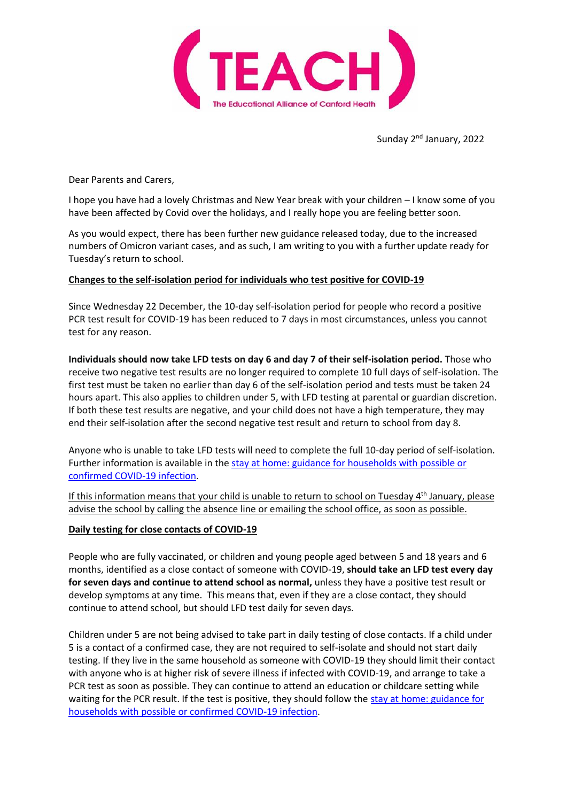

Sunday 2<sup>nd</sup> January, 2022

Dear Parents and Carers,

I hope you have had a lovely Christmas and New Year break with your children – I know some of you have been affected by Covid over the holidays, and I really hope you are feeling better soon.

As you would expect, there has been further new guidance released today, due to the increased numbers of Omicron variant cases, and as such, I am writing to you with a further update ready for Tuesday's return to school.

## **Changes to the self-isolation period for individuals who test positive for COVID-19**

Since Wednesday 22 December, the 10-day self-isolation period for people who record a positive PCR test result for COVID-19 has been reduced to 7 days in most circumstances, unless you cannot test for any reason.

**Individuals should now take LFD tests on day 6 and day 7 of their self-isolation period.** Those who receive two negative test results are no longer required to complete 10 full days of self-isolation. The first test must be taken no earlier than day 6 of the self-isolation period and tests must be taken 24 hours apart. This also applies to children under 5, with LFD testing at parental or guardian discretion. If both these test results are negative, and your child does not have a high temperature, they may end their self-isolation after the second negative test result and return to school from day 8.

Anyone who is unable to take LFD tests will need to complete the full 10-day period of self-isolation. Further information is available in the stay at home: guidance for [households](https://www.gov.uk/government/publications/covid-19-stay-at-home-guidance/stay-at-home-guidance-for-households-with-possible-coronavirus-covid-19-infection?utm_source=2%20January%202022%20C19&utm_medium=Daily%20Email%20C19&utm_campaign=DfE%20C19) with possible or [confirmed](https://www.gov.uk/government/publications/covid-19-stay-at-home-guidance/stay-at-home-guidance-for-households-with-possible-coronavirus-covid-19-infection?utm_source=2%20January%202022%20C19&utm_medium=Daily%20Email%20C19&utm_campaign=DfE%20C19) COVID-19 infection.

If this information means that your child is unable to return to school on Tuesday  $4<sup>th</sup>$  January, please advise the school by calling the absence line or emailing the school office, as soon as possible.

## **Daily testing for close contacts of COVID-19**

People who are fully vaccinated, or children and young people aged between 5 and 18 years and 6 months, identified as a close contact of someone with COVID-19, **should take an LFD test every day for seven days and continue to attend school as normal,** unless they have a positive test result or develop symptoms at any time. This means that, even if they are a close contact, they should continue to attend school, but should LFD test daily for seven days.

Children under 5 are not being advised to take part in daily testing of close contacts. If a child under 5 is a contact of a confirmed case, they are not required to self-isolate and should not start daily testing. If they live in the same household as someone with COVID-19 they should limit their contact with anyone who is at higher risk of severe illness if infected with COVID-19, and arrange to take a PCR test as soon as possible. They can continue to attend an education or childcare setting while waiting for the PCR result. If the test is positive, they should follow the stay at home: [guidance](https://www.gov.uk/government/publications/covid-19-stay-at-home-guidance/stay-at-home-guidance-for-households-with-possible-coronavirus-covid-19-infection?utm_source=2%20January%202022%20C19&utm_medium=Daily%20Email%20C19&utm_campaign=DfE%20C19) for [households](https://www.gov.uk/government/publications/covid-19-stay-at-home-guidance/stay-at-home-guidance-for-households-with-possible-coronavirus-covid-19-infection?utm_source=2%20January%202022%20C19&utm_medium=Daily%20Email%20C19&utm_campaign=DfE%20C19) with possible or confirmed COVID-19 infection.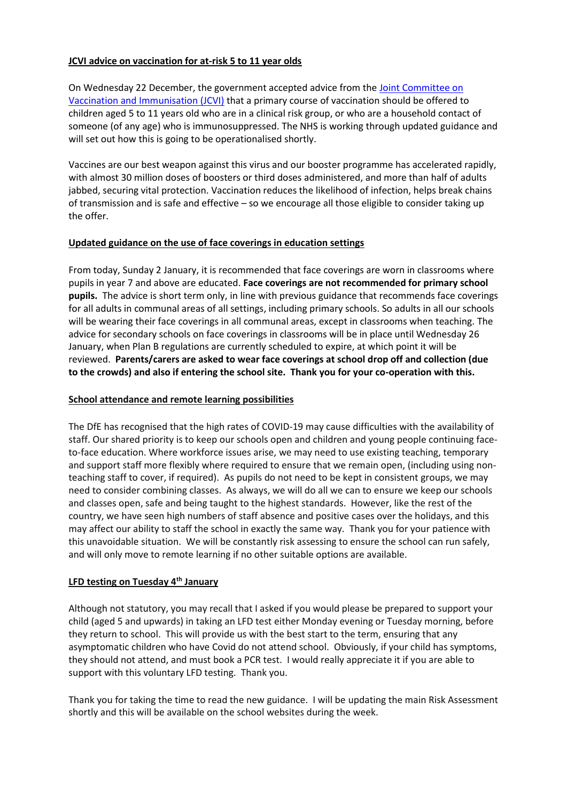# **JCVI advice on vaccination for at-risk 5 to 11 year olds**

On Wednesday 22 December, the government accepted advice from the Joint [Committee](https://www.gov.uk/government/news/jcvi-issues-new-vaccination-advice-for-children-and-young-people?utm_source=2%20January%202022%20C19&utm_medium=Daily%20Email%20C19&utm_campaign=DfE%20C19) on Vaccination and [Immunisation](https://www.gov.uk/government/news/jcvi-issues-new-vaccination-advice-for-children-and-young-people?utm_source=2%20January%202022%20C19&utm_medium=Daily%20Email%20C19&utm_campaign=DfE%20C19) (JCVI) that a primary course of vaccination should be offered to children aged 5 to 11 years old who are in a clinical risk group, or who are a household contact of someone (of any age) who is immunosuppressed. The NHS is working through updated guidance and will set out how this is going to be operationalised shortly.

Vaccines are our best weapon against this virus and our booster programme has accelerated rapidly, with almost 30 million doses of boosters or third doses administered, and more than half of adults jabbed, securing vital protection. Vaccination reduces the likelihood of infection, helps break chains of transmission and is safe and effective – so we encourage all those eligible to consider taking up the offer.

# **Updated guidance on the use of face coverings in education settings**

From today, Sunday 2 January, it is recommended that face coverings are worn in classrooms where pupils in year 7 and above are educated. **Face coverings are not recommended for primary school pupils.** The advice is short term only, in line with previous guidance that recommends face coverings for all adults in communal areas of all settings, including primary schools. So adults in all our schools will be wearing their face coverings in all communal areas, except in classrooms when teaching. The advice for secondary schools on face coverings in classrooms will be in place until Wednesday 26 January, when Plan B regulations are currently scheduled to expire, at which point it will be reviewed. **Parents/carers are asked to wear face coverings at school drop off and collection (due to the crowds) and also if entering the school site. Thank you for your co-operation with this.**

# **School attendance and remote learning possibilities**

The DfE has recognised that the high rates of COVID-19 may cause difficulties with the availability of staff. Our shared priority is to keep our schools open and children and young people continuing faceto-face education. Where workforce issues arise, we may need to use existing teaching, temporary and support staff more flexibly where required to ensure that we remain open, (including using nonteaching staff to cover, if required). As pupils do not need to be kept in consistent groups, we may need to consider combining classes. As always, we will do all we can to ensure we keep our schools and classes open, safe and being taught to the highest standards. However, like the rest of the country, we have seen high numbers of staff absence and positive cases over the holidays, and this may affect our ability to staff the school in exactly the same way. Thank you for your patience with this unavoidable situation. We will be constantly risk assessing to ensure the school can run safely, and will only move to remote learning if no other suitable options are available.

## **LFD testing on Tuesday 4th January**

Although not statutory, you may recall that I asked if you would please be prepared to support your child (aged 5 and upwards) in taking an LFD test either Monday evening or Tuesday morning, before they return to school. This will provide us with the best start to the term, ensuring that any asymptomatic children who have Covid do not attend school. Obviously, if your child has symptoms, they should not attend, and must book a PCR test. I would really appreciate it if you are able to support with this voluntary LFD testing. Thank you.

Thank you for taking the time to read the new guidance. I will be updating the main Risk Assessment shortly and this will be available on the school websites during the week.